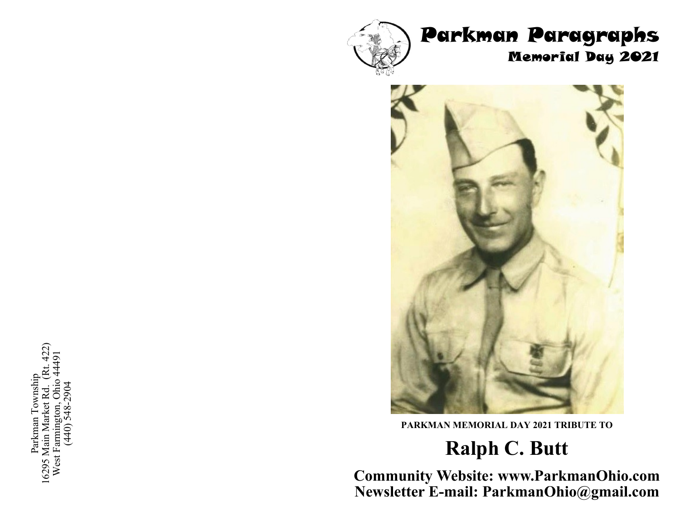### Parkman Paragraphs Memorial Day 2021





**PARKMAN MEMORIAL DAY 2021 TRIBUTE TO** 

## **Ralph C. Butt**

**Community Website: www.ParkmanOhio.com Newsletter E-mail: ParkmanOhio@gmail.com**

16295 Main Market Rd. (Rt. 422) West Farmington, Ohio 44491 Parkman Township Parkman Township (440) 548-2904 West Farmington, Ohi<br>(440) 548-290 16295 Main Market Rd